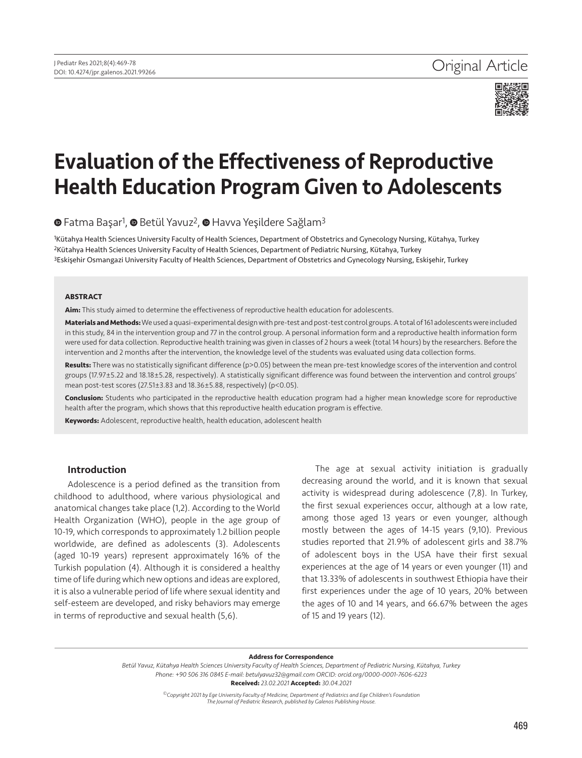

# Evaluation of the Effectiveness of Reproductive Health Education Program Given to Adolescents

**■**Fatma Başar<sup>1</sup>, ■ Betül Yavuz<sup>2</sup>, ■ Havva Yeşildere Sağlam<sup>3</sup>

1Kütahya Health Sciences University Faculty of Health Sciences, Department of Obstetrics and Gynecology Nursing, Kütahya, Turkey 2Kütahya Health Sciences University Faculty of Health Sciences, Department of Pediatric Nursing, Kütahya, Turkey 3Eskişehir Osmangazi University Faculty of Health Sciences, Department of Obstetrics and Gynecology Nursing, Eskişehir, Turkey

#### **ABSTRACT**

**Aim:** This study aimed to determine the effectiveness of reproductive health education for adolescents.

**Materials and Methods:** We used a quasi-experimental design with pre-test and post-test control groups. A total of 161 adolescents were included in this study, 84 in the intervention group and 77 in the control group. A personal information form and a reproductive health information form were used for data collection. Reproductive health training was given in classes of 2 hours a week (total 14 hours) by the researchers. Before the intervention and 2 months after the intervention, the knowledge level of the students was evaluated using data collection forms.

**Results:** There was no statistically significant difference (p>0.05) between the mean pre-test knowledge scores of the intervention and control groups (17.97±5.22 and 18.18±5.28, respectively). A statistically significant difference was found between the intervention and control groups' mean post-test scores (27.51±3.83 and 18.36±5.88, respectively) (p<0.05).

**Conclusion:** Students who participated in the reproductive health education program had a higher mean knowledge score for reproductive health after the program, which shows that this reproductive health education program is effective.

**Keywords:** Adolescent, reproductive health, health education, adolescent health

# Introduction

Adolescence is a period defined as the transition from childhood to adulthood, where various physiological and anatomical changes take place (1,2). According to the World Health Organization (WHO), people in the age group of 10-19, which corresponds to approximately 1.2 billion people worldwide, are defined as adolescents (3). Adolescents (aged 10-19 years) represent approximately 16% of the Turkish population (4). Although it is considered a healthy time of life during which new options and ideas are explored, it is also a vulnerable period of life where sexual identity and self-esteem are developed, and risky behaviors may emerge in terms of reproductive and sexual health (5,6).

The age at sexual activity initiation is gradually decreasing around the world, and it is known that sexual activity is widespread during adolescence (7,8). In Turkey, the first sexual experiences occur, although at a low rate, among those aged 13 years or even younger, although mostly between the ages of 14-15 years (9,10). Previous studies reported that 21.9% of adolescent girls and 38.7% of adolescent boys in the USA have their first sexual experiences at the age of 14 years or even younger (11) and that 13.33% of adolescents in southwest Ethiopia have their first experiences under the age of 10 years, 20% between the ages of 10 and 14 years, and 66.67% between the ages of 15 and 19 years (12).

#### **Address for Correspondence**

*Betül Yavuz, Kütahya Health Sciences University Faculty of Health Sciences, Department of Pediatric Nursing, Kütahya, Turkey Phone: +90 506 316 0845 E-mail: betulyavuz32@gmail.com ORCID: orcid.org/0000-0001-7606-6223* **Received:** *23.02.2021* **Accepted:** *30.04.2021*

> *©Copyright 2021 by Ege University Faculty of Medicine, Department of Pediatrics and Ege Children's Foundation The Journal of Pediatric Research, published by Galenos Publishing House.*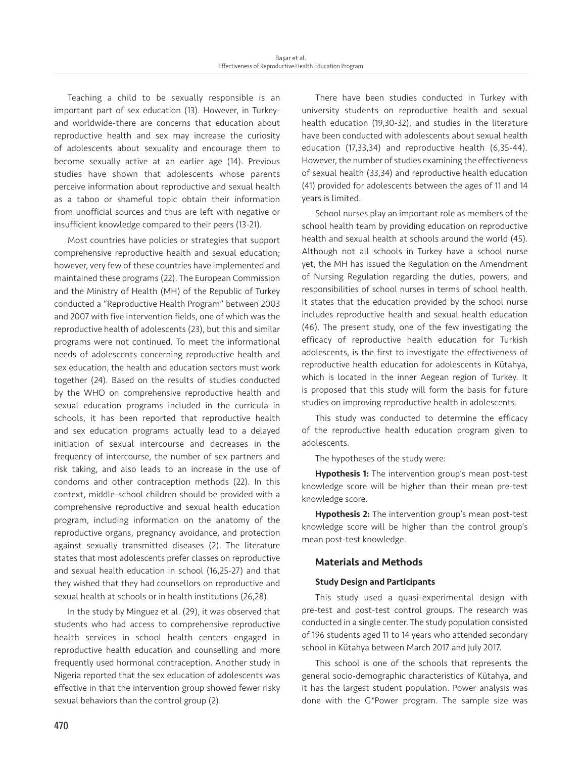Teaching a child to be sexually responsible is an important part of sex education (13). However, in Turkeyand worldwide-there are concerns that education about reproductive health and sex may increase the curiosity of adolescents about sexuality and encourage them to become sexually active at an earlier age (14). Previous studies have shown that adolescents whose parents perceive information about reproductive and sexual health as a taboo or shameful topic obtain their information from unofficial sources and thus are left with negative or insufficient knowledge compared to their peers (13-21).

Most countries have policies or strategies that support comprehensive reproductive health and sexual education; however, very few of these countries have implemented and maintained these programs (22). The European Commission and the Ministry of Health (MH) of the Republic of Turkey conducted a "Reproductive Health Program" between 2003 and 2007 with five intervention fields, one of which was the reproductive health of adolescents (23), but this and similar programs were not continued. To meet the informational needs of adolescents concerning reproductive health and sex education, the health and education sectors must work together (24). Based on the results of studies conducted by the WHO on comprehensive reproductive health and sexual education programs included in the curricula in schools, it has been reported that reproductive health and sex education programs actually lead to a delayed initiation of sexual intercourse and decreases in the frequency of intercourse, the number of sex partners and risk taking, and also leads to an increase in the use of condoms and other contraception methods (22). In this context, middle-school children should be provided with a comprehensive reproductive and sexual health education program, including information on the anatomy of the reproductive organs, pregnancy avoidance, and protection against sexually transmitted diseases (2). The literature states that most adolescents prefer classes on reproductive and sexual health education in school (16,25-27) and that they wished that they had counsellors on reproductive and sexual health at schools or in health institutions (26,28).

In the study by Minguez et al. (29), it was observed that students who had access to comprehensive reproductive health services in school health centers engaged in reproductive health education and counselling and more frequently used hormonal contraception. Another study in Nigeria reported that the sex education of adolescents was effective in that the intervention group showed fewer risky sexual behaviors than the control group (2).

There have been studies conducted in Turkey with university students on reproductive health and sexual health education (19,30-32), and studies in the literature have been conducted with adolescents about sexual health education (17,33,34) and reproductive health (6,35-44). However, the number of studies examining the effectiveness of sexual health (33,34) and reproductive health education (41) provided for adolescents between the ages of 11 and 14 years is limited.

School nurses play an important role as members of the school health team by providing education on reproductive health and sexual health at schools around the world (45). Although not all schools in Turkey have a school nurse yet, the MH has issued the Regulation on the Amendment of Nursing Regulation regarding the duties, powers, and responsibilities of school nurses in terms of school health. It states that the education provided by the school nurse includes reproductive health and sexual health education (46). The present study, one of the few investigating the efficacy of reproductive health education for Turkish adolescents, is the first to investigate the effectiveness of reproductive health education for adolescents in Kütahya, which is located in the inner Aegean region of Turkey. It is proposed that this study will form the basis for future studies on improving reproductive health in adolescents.

This study was conducted to determine the efficacy of the reproductive health education program given to adolescents.

The hypotheses of the study were:

Hypothesis 1: The intervention group's mean post-test knowledge score will be higher than their mean pre-test knowledge score.

Hypothesis 2: The intervention group's mean post-test knowledge score will be higher than the control group's mean post-test knowledge.

### Materials and Methods

### Study Design and Participants

This study used a quasi-experimental design with pre-test and post-test control groups. The research was conducted in a single center. The study population consisted of 196 students aged 11 to 14 years who attended secondary school in Kütahya between March 2017 and July 2017.

This school is one of the schools that represents the general socio-demographic characteristics of Kütahya, and it has the largest student population. Power analysis was done with the G\*Power program. The sample size was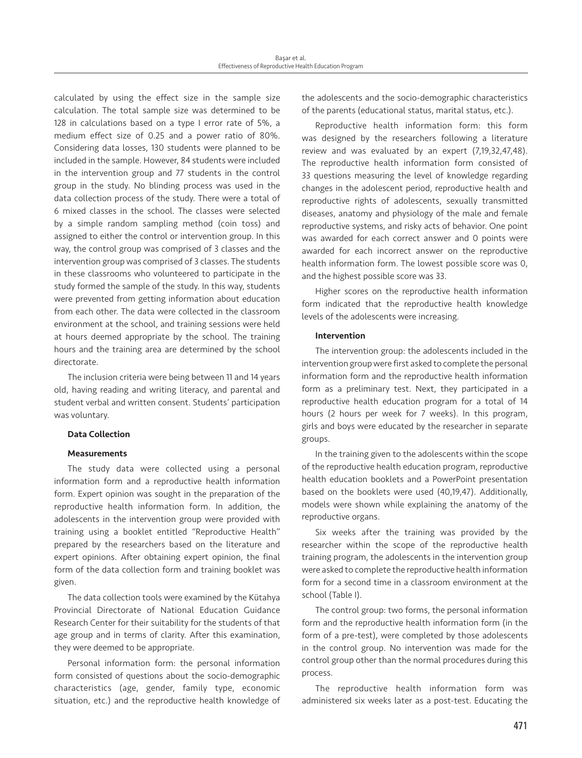calculated by using the effect size in the sample size calculation. The total sample size was determined to be 128 in calculations based on a type I error rate of 5%, a medium effect size of 0.25 and a power ratio of 80%. Considering data losses, 130 students were planned to be included in the sample. However, 84 students were included in the intervention group and 77 students in the control group in the study. No blinding process was used in the data collection process of the study. There were a total of 6 mixed classes in the school. The classes were selected by a simple random sampling method (coin toss) and assigned to either the control or intervention group. In this way, the control group was comprised of 3 classes and the intervention group was comprised of 3 classes. The students in these classrooms who volunteered to participate in the study formed the sample of the study. In this way, students were prevented from getting information about education from each other. The data were collected in the classroom environment at the school, and training sessions were held at hours deemed appropriate by the school. The training hours and the training area are determined by the school directorate.

The inclusion criteria were being between 11 and 14 years old, having reading and writing literacy, and parental and student verbal and written consent. Students' participation was voluntary.

# Data Collection

### **Measurements**

The study data were collected using a personal information form and a reproductive health information form. Expert opinion was sought in the preparation of the reproductive health information form. In addition, the adolescents in the intervention group were provided with training using a booklet entitled "Reproductive Health" prepared by the researchers based on the literature and expert opinions. After obtaining expert opinion, the final form of the data collection form and training booklet was given.

The data collection tools were examined by the Kütahya Provincial Directorate of National Education Guidance Research Center for their suitability for the students of that age group and in terms of clarity. After this examination, they were deemed to be appropriate.

Personal information form: the personal information form consisted of questions about the socio-demographic characteristics (age, gender, family type, economic situation, etc.) and the reproductive health knowledge of the adolescents and the socio-demographic characteristics of the parents (educational status, marital status, etc.).

Reproductive health information form: this form was designed by the researchers following a literature review and was evaluated by an expert (7,19,32,47,48). The reproductive health information form consisted of 33 questions measuring the level of knowledge regarding changes in the adolescent period, reproductive health and reproductive rights of adolescents, sexually transmitted diseases, anatomy and physiology of the male and female reproductive systems, and risky acts of behavior. One point was awarded for each correct answer and 0 points were awarded for each incorrect answer on the reproductive health information form. The lowest possible score was 0, and the highest possible score was 33.

Higher scores on the reproductive health information form indicated that the reproductive health knowledge levels of the adolescents were increasing.

### Intervention

The intervention group: the adolescents included in the intervention group were first asked to complete the personal information form and the reproductive health information form as a preliminary test. Next, they participated in a reproductive health education program for a total of 14 hours (2 hours per week for 7 weeks). In this program, girls and boys were educated by the researcher in separate groups.

In the training given to the adolescents within the scope of the reproductive health education program, reproductive health education booklets and a PowerPoint presentation based on the booklets were used (40,19,47). Additionally, models were shown while explaining the anatomy of the reproductive organs.

Six weeks after the training was provided by the researcher within the scope of the reproductive health training program, the adolescents in the intervention group were asked to complete the reproductive health information form for a second time in a classroom environment at the school (Table I).

The control group: two forms, the personal information form and the reproductive health information form (in the form of a pre-test), were completed by those adolescents in the control group. No intervention was made for the control group other than the normal procedures during this process.

The reproductive health information form was administered six weeks later as a post-test. Educating the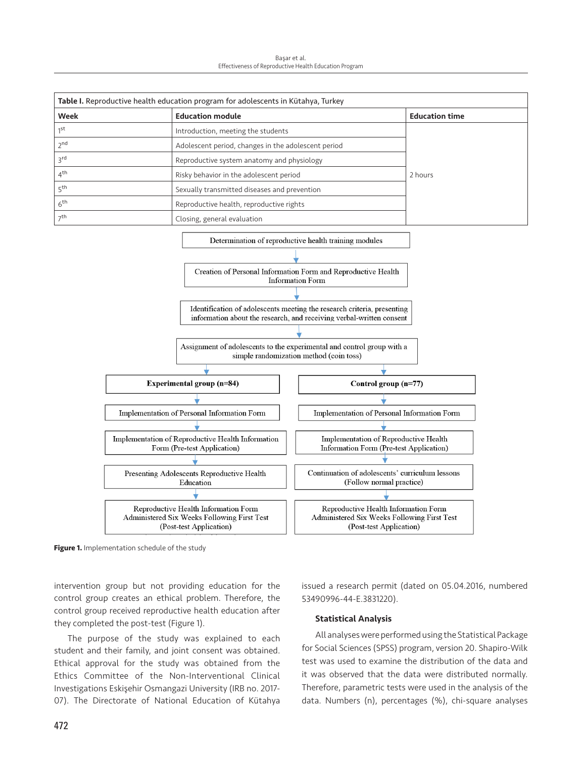Başar et al. Effectiveness of Reproductive Health Education Program



**Figure 1.** Implementation schedule of the study

intervention group but not providing education for the control group creates an ethical problem. Therefore, the control group received reproductive health education after they completed the post-test (Figure 1).

The purpose of the study was explained to each student and their family, and joint consent was obtained. Ethical approval for the study was obtained from the Ethics Committee of the Non-Interventional Clinical Investigations Eskişehir Osmangazi University (IRB no. 2017- 07). The Directorate of National Education of Kütahya issued a research permit (dated on 05.04.2016, numbered 53490996-44-E.3831220).

#### Statistical Analysis

All analyses were performed using the Statistical Package for Social Sciences (SPSS) program, version 20. Shapiro-Wilk test was used to examine the distribution of the data and it was observed that the data were distributed normally. Therefore, parametric tests were used in the analysis of the data. Numbers (n), percentages (%), chi-square analyses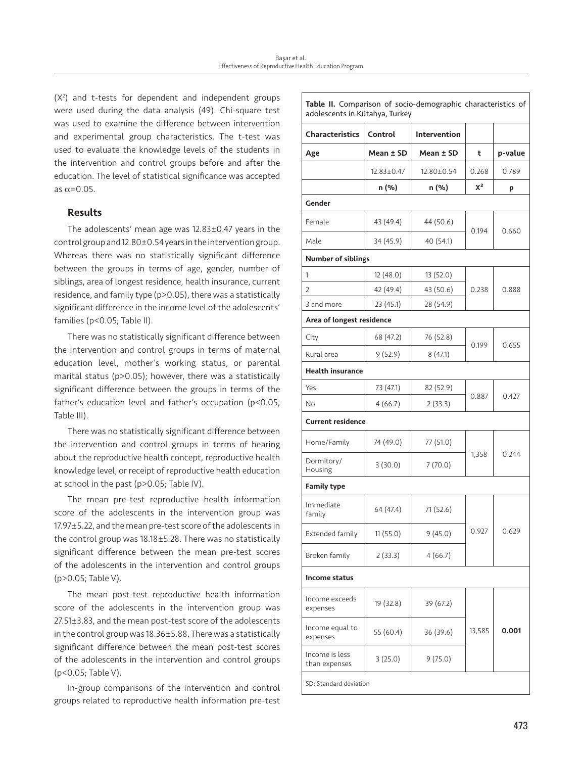(X2 ) and t-tests for dependent and independent groups were used during the data analysis (49). Chi-square test was used to examine the difference between intervention and experimental group characteristics. The t-test was used to evaluate the knowledge levels of the students in the intervention and control groups before and after the education. The level of statistical significance was accepted as  $\alpha$ =0.05.

# Results

The adolescents' mean age was 12.83±0.47 years in the control group and 12.80±0.54 years in the intervention group. Whereas there was no statistically significant difference between the groups in terms of age, gender, number of siblings, area of longest residence, health insurance, current residence, and family type (p>0.05), there was a statistically significant difference in the income level of the adolescents' families (p<0.05; Table II).

There was no statistically significant difference between the intervention and control groups in terms of maternal education level, mother's working status, or parental marital status (p>0.05); however, there was a statistically significant difference between the groups in terms of the father's education level and father's occupation (p<0.05; Table III).

There was no statistically significant difference between the intervention and control groups in terms of hearing about the reproductive health concept, reproductive health knowledge level, or receipt of reproductive health education at school in the past (p>0.05; Table IV).

The mean pre-test reproductive health information score of the adolescents in the intervention group was 17.97±5.22, and the mean pre-test score of the adolescents in the control group was 18.18±5.28. There was no statistically significant difference between the mean pre-test scores of the adolescents in the intervention and control groups (p>0.05; Table V).

The mean post-test reproductive health information score of the adolescents in the intervention group was 27.51±3.83, and the mean post-test score of the adolescents in the control group was 18.36±5.88. There was a statistically significant difference between the mean post-test scores of the adolescents in the intervention and control groups (p<0.05; Table V).

In-group comparisons of the intervention and control groups related to reproductive health information pre-test

| Table II. Comparison of socio-demographic characteristics of<br>adolescents in Kütahya, Turkey |            |                     |        |         |
|------------------------------------------------------------------------------------------------|------------|---------------------|--------|---------|
| <b>Characteristics</b>                                                                         | Control    | <b>Intervention</b> |        |         |
| Age                                                                                            | Mean ± SD  | Mean ± SD           | t      | p-value |
|                                                                                                | 12.83±0.47 | 12.80±0.54          | 0.268  | 0.789   |
|                                                                                                | n (%)      | n (%)               | $X^2$  | p       |
| Gender                                                                                         |            |                     |        |         |
| Female                                                                                         | 43 (49.4)  | 44 (50.6)           | 0.194  | 0.660   |
| Male                                                                                           | 34 (45.9)  | 40 (54.1)           |        |         |
| <b>Number of siblings</b>                                                                      |            |                     |        |         |
| 1                                                                                              | 12 (48.0)  | 13(52.0)            |        | 0.888   |
| 2                                                                                              | 42 (49.4)  | 43 (50.6)           | 0.238  |         |
| 3 and more                                                                                     | 23 (45.1)  | 28 (54.9)           |        |         |
| Area of longest residence                                                                      |            |                     |        |         |
| City                                                                                           | 68 (47.2)  | 76 (52.8)           | 0.199  | 0.655   |
| Rural area                                                                                     | 9(52.9)    | 8(47.1)             |        |         |
| <b>Health insurance</b>                                                                        |            |                     |        |         |
| Yes                                                                                            | 73 (47.1)  | 82 (52.9)           | 0.887  | 0.427   |
| No                                                                                             | 4(66.7)    | 2(33.3)             |        |         |
| <b>Current residence</b>                                                                       |            |                     |        |         |
| Home/Family                                                                                    | 74 (49.0)  | 77 (51.0)           | 1,358  | 0.244   |
| Dormitory/<br>Housing                                                                          | 3(30.0)    | 7(70.0)             |        |         |
| <b>Family type</b>                                                                             |            |                     |        |         |
| Immediate<br>family                                                                            | 64 (47.4)  | 71 (52.6)           | 0.927  | 0.629   |
| Extended family                                                                                | 11(55.0)   | 9(45.0)             |        |         |
| Broken family                                                                                  | 2(33.3)    | 4(66.7)             |        |         |
| Income status                                                                                  |            |                     |        |         |
| Income exceeds<br>expenses                                                                     | 19 (32.8)  | 39 (67.2)           |        |         |
| Income equal to<br>expenses                                                                    | 55 (60.4)  | 36 (39.6)           | 13,585 | 0.001   |
| Income is less<br>than expenses                                                                | 3(25.0)    | 9(75.0)             |        |         |
| SD: Standard deviation                                                                         |            |                     |        |         |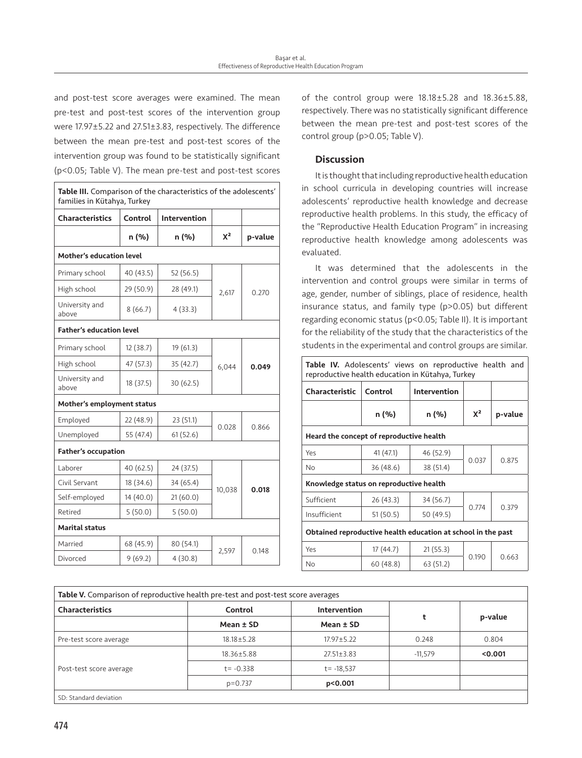and post-test score averages were examined. The mean pre-test and post-test scores of the intervention group were 17.97±5.22 and 27.51±3.83, respectively. The difference between the mean pre-test and post-test scores of the intervention group was found to be statistically significant (p<0.05; Table V). The mean pre-test and post-test scores

| Table III. Comparison of the characteristics of the adolescents'<br>families in Kütahya, Turkey |           |                     |                |         |
|-------------------------------------------------------------------------------------------------|-----------|---------------------|----------------|---------|
| <b>Characteristics</b>                                                                          | Control   | <b>Intervention</b> |                |         |
|                                                                                                 | n (%)     | n (%)               | $X^2$          | p-value |
| Mother's education level                                                                        |           |                     |                |         |
| Primary school                                                                                  | 40 (43.5) | 52 (56.5)           |                |         |
| High school                                                                                     | 29 (50.9) | 28 (49.1)           | 2,617          | 0.270   |
| University and<br>above                                                                         | 8(66.7)   | 4(33.3)             |                |         |
| <b>Father's education level</b>                                                                 |           |                     |                |         |
| Primary school                                                                                  | 12(38.7)  | 19(61.3)            | 6,044          |         |
| High school                                                                                     | 47 (57.3) | 35 (42.7)           |                | 0.049   |
| University and<br>above                                                                         | 18 (37.5) | 30(62.5)            |                |         |
| Mother's employment status                                                                      |           |                     |                |         |
| Employed                                                                                        | 22 (48.9) | 23 (51.1)           | 0.028<br>0.866 |         |
| Unemployed                                                                                      | 55 (47.4) | 61(52.6)            |                |         |
| <b>Father's occupation</b>                                                                      |           |                     |                |         |
| Laborer                                                                                         | 40 (62.5) | 24 (37.5)           |                |         |
| Civil Servant                                                                                   | 18 (34.6) | 34 (65.4)           | 10,038         | 0.018   |
| Self-employed                                                                                   | 14 (40.0) | 21(60.0)            |                |         |
| Retired                                                                                         | 5(50.0)   | 5(50.0)             |                |         |
| Marital status                                                                                  |           |                     |                |         |
| Married                                                                                         | 68 (45.9) | 80 (54.1)           |                |         |
| Divorced                                                                                        | 9(69.2)   | 4(30.8)             | 2,597          | 0.148   |

of the control group were 18.18±5.28 and 18.36±5.88, respectively. There was no statistically significant difference between the mean pre-test and post-test scores of the control group (p>0.05; Table V).

# **Discussion**

It is thought that including reproductive health education in school curricula in developing countries will increase adolescents' reproductive health knowledge and decrease reproductive health problems. In this study, the efficacy of the "Reproductive Health Education Program" in increasing reproductive health knowledge among adolescents was evaluated.

It was determined that the adolescents in the intervention and control groups were similar in terms of age, gender, number of siblings, place of residence, health insurance status, and family type (p>0.05) but different regarding economic status (p<0.05; Table II). It is important for the reliability of the study that the characteristics of the students in the experimental and control groups are similar.

| Table IV. Adolescents' views on reproductive health and<br>reproductive health education in Kütahya, Turkey |           |              |       |         |
|-------------------------------------------------------------------------------------------------------------|-----------|--------------|-------|---------|
| <b>Characteristic</b>                                                                                       | Control   | Intervention |       |         |
|                                                                                                             | n (%)     | n (%)        | $X^2$ | p-value |
| Heard the concept of reproductive health                                                                    |           |              |       |         |
| Yes                                                                                                         | 41 (47.1) | 46 (52.9)    |       |         |
| <b>No</b>                                                                                                   | 36 (48.6) | 38 (51.4)    | 0.037 | 0.875   |
| Knowledge status on reproductive health                                                                     |           |              |       |         |
| Sufficient                                                                                                  | 26(43.3)  | 34 (56.7)    | 0.774 |         |
| Insufficient                                                                                                | 51(50.5)  | 50 (49.5)    |       | 0.379   |
| Obtained reproductive health education at school in the past                                                |           |              |       |         |
| Yes                                                                                                         | 17(44.7)  | 21(55.3)     |       |         |
| No                                                                                                          | 60(48.8)  | 63 (51.2)    | 0.190 | 0.663   |

| <b>Characteristics</b>  | Control<br>Mean $\pm$ SD | Intervention<br>Mean $\pm$ SD | t         | p-value |
|-------------------------|--------------------------|-------------------------------|-----------|---------|
|                         |                          |                               |           |         |
| Post-test score average | $18.36 \pm 5.88$         | $27.51 \pm 3.83$              | $-11.579$ | < 0.001 |
|                         | $t = -0.338$             | $t = -18,537$                 |           |         |
|                         | $p=0.737$                | p < 0.001                     |           |         |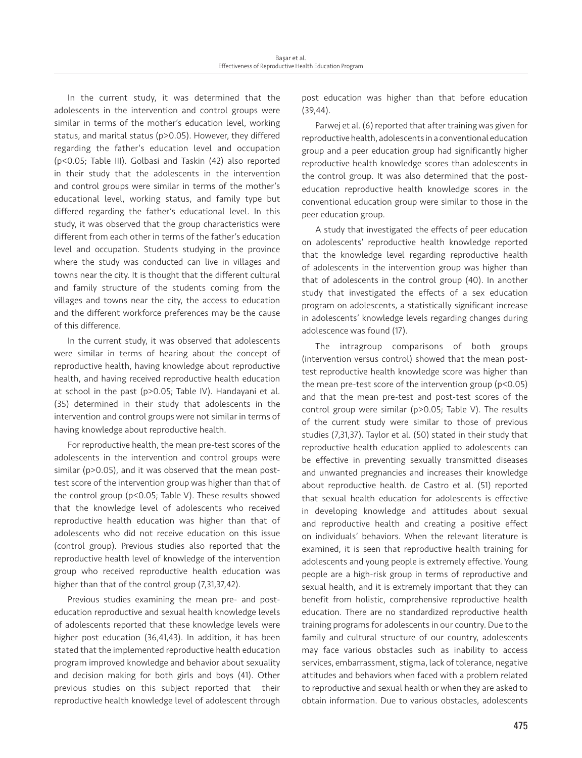In the current study, it was determined that the adolescents in the intervention and control groups were similar in terms of the mother's education level, working status, and marital status (p>0.05). However, they differed regarding the father's education level and occupation (p<0.05; Table III). Golbasi and Taskin (42) also reported in their study that the adolescents in the intervention and control groups were similar in terms of the mother's educational level, working status, and family type but differed regarding the father's educational level. In this study, it was observed that the group characteristics were different from each other in terms of the father's education level and occupation. Students studying in the province where the study was conducted can live in villages and towns near the city. It is thought that the different cultural and family structure of the students coming from the villages and towns near the city, the access to education and the different workforce preferences may be the cause of this difference.

In the current study, it was observed that adolescents were similar in terms of hearing about the concept of reproductive health, having knowledge about reproductive health, and having received reproductive health education at school in the past (p>0.05; Table IV). Handayani et al. (35) determined in their study that adolescents in the intervention and control groups were not similar in terms of having knowledge about reproductive health.

For reproductive health, the mean pre-test scores of the adolescents in the intervention and control groups were similar (p>0.05), and it was observed that the mean posttest score of the intervention group was higher than that of the control group (p<0.05; Table V). These results showed that the knowledge level of adolescents who received reproductive health education was higher than that of adolescents who did not receive education on this issue (control group). Previous studies also reported that the reproductive health level of knowledge of the intervention group who received reproductive health education was higher than that of the control group (7,31,37,42).

Previous studies examining the mean pre- and posteducation reproductive and sexual health knowledge levels of adolescents reported that these knowledge levels were higher post education (36,41,43). In addition, it has been stated that the implemented reproductive health education program improved knowledge and behavior about sexuality and decision making for both girls and boys (41). Other previous studies on this subject reported that their reproductive health knowledge level of adolescent through post education was higher than that before education (39,44).

Parwej et al. (6) reported that after training was given for reproductive health, adolescents in a conventional education group and a peer education group had significantly higher reproductive health knowledge scores than adolescents in the control group. It was also determined that the posteducation reproductive health knowledge scores in the conventional education group were similar to those in the peer education group.

A study that investigated the effects of peer education on adolescents' reproductive health knowledge reported that the knowledge level regarding reproductive health of adolescents in the intervention group was higher than that of adolescents in the control group (40). In another study that investigated the effects of a sex education program on adolescents, a statistically significant increase in adolescents' knowledge levels regarding changes during adolescence was found (17).

The intragroup comparisons of both groups (intervention versus control) showed that the mean posttest reproductive health knowledge score was higher than the mean pre-test score of the intervention group (p<0.05) and that the mean pre-test and post-test scores of the control group were similar (p>0.05; Table V). The results of the current study were similar to those of previous studies (7,31,37). Taylor et al. (50) stated in their study that reproductive health education applied to adolescents can be effective in preventing sexually transmitted diseases and unwanted pregnancies and increases their knowledge about reproductive health. de Castro et al. (51) reported that sexual health education for adolescents is effective in developing knowledge and attitudes about sexual and reproductive health and creating a positive effect on individuals' behaviors. When the relevant literature is examined, it is seen that reproductive health training for adolescents and young people is extremely effective. Young people are a high-risk group in terms of reproductive and sexual health, and it is extremely important that they can benefit from holistic, comprehensive reproductive health education. There are no standardized reproductive health training programs for adolescents in our country. Due to the family and cultural structure of our country, adolescents may face various obstacles such as inability to access services, embarrassment, stigma, lack of tolerance, negative attitudes and behaviors when faced with a problem related to reproductive and sexual health or when they are asked to obtain information. Due to various obstacles, adolescents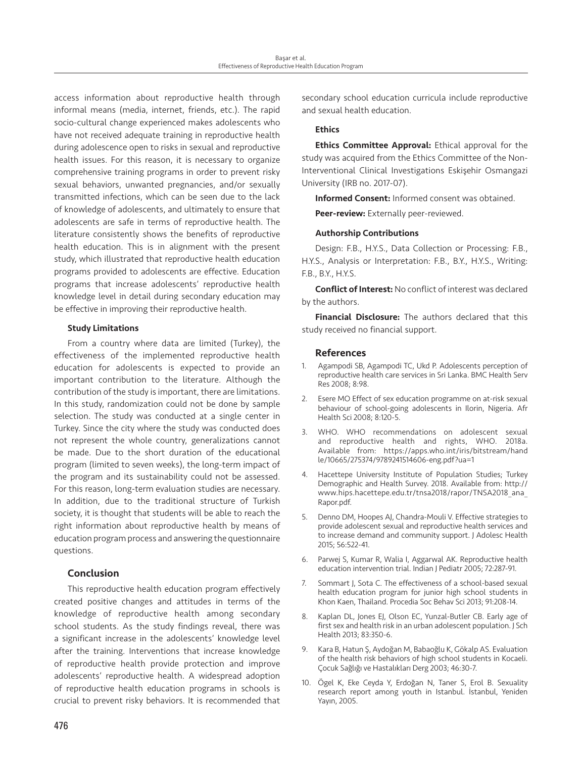access information about reproductive health through informal means (media, internet, friends, etc.). The rapid socio-cultural change experienced makes adolescents who have not received adequate training in reproductive health during adolescence open to risks in sexual and reproductive health issues. For this reason, it is necessary to organize comprehensive training programs in order to prevent risky sexual behaviors, unwanted pregnancies, and/or sexually transmitted infections, which can be seen due to the lack of knowledge of adolescents, and ultimately to ensure that adolescents are safe in terms of reproductive health. The literature consistently shows the benefits of reproductive health education. This is in alignment with the present study, which illustrated that reproductive health education programs provided to adolescents are effective. Education programs that increase adolescents' reproductive health knowledge level in detail during secondary education may be effective in improving their reproductive health.

## Study Limitations

From a country where data are limited (Turkey), the effectiveness of the implemented reproductive health education for adolescents is expected to provide an important contribution to the literature. Although the contribution of the study is important, there are limitations. In this study, randomization could not be done by sample selection. The study was conducted at a single center in Turkey. Since the city where the study was conducted does not represent the whole country, generalizations cannot be made. Due to the short duration of the educational program (limited to seven weeks), the long-term impact of the program and its sustainability could not be assessed. For this reason, long-term evaluation studies are necessary. In addition, due to the traditional structure of Turkish society, it is thought that students will be able to reach the right information about reproductive health by means of education program process and answering the questionnaire questions.

# Conclusion

This reproductive health education program effectively created positive changes and attitudes in terms of the knowledge of reproductive health among secondary school students. As the study findings reveal, there was a significant increase in the adolescents' knowledge level after the training. Interventions that increase knowledge of reproductive health provide protection and improve adolescents' reproductive health. A widespread adoption of reproductive health education programs in schools is crucial to prevent risky behaviors. It is recommended that

secondary school education curricula include reproductive and sexual health education.

# **Ethics**

**Ethics Committee Approval:** Ethical approval for the study was acquired from the Ethics Committee of the Non-Interventional Clinical Investigations Eskişehir Osmangazi University (IRB no. 2017-07).

Informed Consent: Informed consent was obtained.

Peer-review: Externally peer-reviewed.

# Authorship Contributions

Design: F.B., H.Y.S., Data Collection or Processing: F.B., H.Y.S., Analysis or Interpretation: F.B., B.Y., H.Y.S., Writing: F.B., B.Y., H.Y.S.

Conflict of Interest: No conflict of interest was declared by the authors.

Financial Disclosure: The authors declared that this study received no financial support.

# References

- 1. Agampodi SB, Agampodi TC, Ukd P. Adolescents perception of reproductive health care services in Sri Lanka. BMC Health Serv Res 2008; 8:98.
- 2. Esere MO Effect of sex education programme on at-risk sexual behaviour of school-going adolescents in Ilorin, Nigeria. Afr Health Sci 2008; 8:120-5.
- WHO. WHO recommendations on adolescent sexual and reproductive health and rights, WHO. 2018a. Available from: https://apps.who.int/iris/bitstream/hand le/10665/275374/9789241514606-eng.pdf?ua=1
- 4. Hacettepe University Institute of Population Studies; Turkey Demographic and Health Survey. 2018. Available from: http:// www.hips.hacettepe.edu.tr/tnsa2018/rapor/TNSA2018\_ana\_ Rapor.pdf.
- 5. Denno DM, Hoopes AJ, Chandra-Mouli V. Effective strategies to provide adolescent sexual and reproductive health services and to increase demand and community support. J Adolesc Health 2015; 56:522-41.
- 6. Parwej S, Kumar R, Walia I, Aggarwal AK. Reproductive health education intervention trial. Indian J Pediatr 2005; 72:287-91.
- 7. Sommart J, Sota C. The effectiveness of a school-based sexual health education program for junior high school students in Khon Kaen, Thailand. Procedia Soc Behav Sci 2013; 91:208-14.
- 8. Kaplan DL, Jones EJ, Olson EC, Yunzal-Butler CB. Early age of first sex and health risk in an urban adolescent population. J Sch Health 2013; 83:350-6.
- 9. Kara B, Hatun Ş, Aydoğan M, Babaoğlu K, Gökalp AS. Evaluation of the health risk behaviors of high school students in Kocaeli. Çocuk Sağlığı ve Hastalıkları Derg 2003; 46:30-7.
- 10. Ögel K, Eke Ceyda Y, Erdoğan N, Taner S, Erol B. Sexuality research report among youth in Istanbul. İstanbul, Yeniden Yayın, 2005.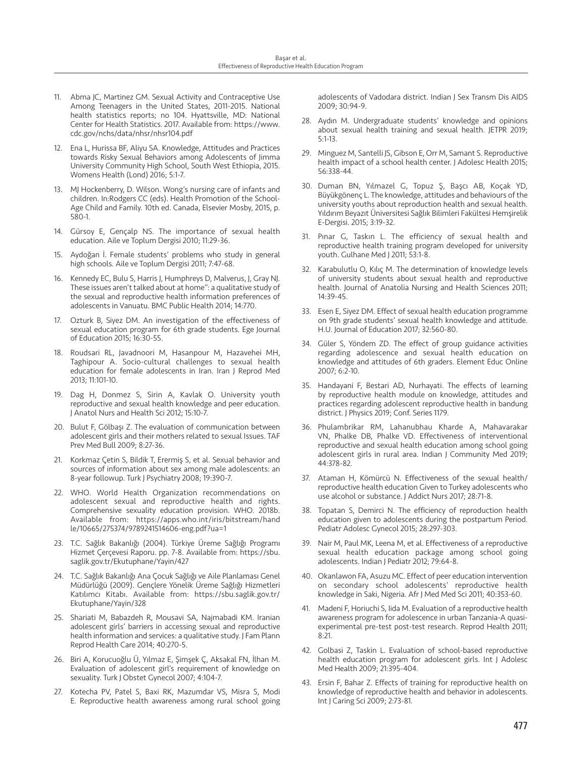- 11. Abma JC, Martinez GM. Sexual Activity and Contraceptive Use Among Teenagers in the United States, 2011-2015. National health statistics reports; no 104. Hyattsville, MD: National Center for Health Statistics. 2017. Available from: https://www. cdc.gov/nchs/data/nhsr/nhsr104.pdf
- 12. Ena L, Hurissa BF, Aliyu SA. Knowledge, Attitudes and Practices towards Risky Sexual Behaviors among Adolescents of Jimma University Community High School, South West Ethiopia, 2015. Womens Health (Lond) 2016; 5:1-7.
- 13. MJ Hockenberry, D. Wilson. Wong's nursing care of infants and children. In:Rodgers CC (eds). Health Promotion of the School-Age Child and Family. 10th ed. Canada, Elsevier Mosby, 2015, p. 580-1.
- 14. Gürsoy E, Gençalp NS. The importance of sexual health education. Aile ve Toplum Dergisi 2010; 11:29-36.
- 15. Aydoğan İ. Female students' problems who study in general high schools. Aile ve Toplum Dergisi 2011; 7:47-68.
- 16. Kennedy EC, Bulu S, Harris J, Humphreys D, Malverus, J, Gray NJ. These issues aren't talked about at home": a qualitative study of the sexual and reproductive health information preferences of adolescents in Vanuatu. BMC Public Health 2014; 14:770.
- 17. Ozturk B, Siyez DM. An investigation of the effectiveness of sexual education program for 6th grade students. Ege Journal of Education 2015; 16:30-55.
- 18. Roudsari RL, Javadnoori M, Hasanpour M, Hazavehei MH, Taghipour A. Socio-cultural challenges to sexual health education for female adolescents in Iran. Iran J Reprod Med 2013; 11:101-10.
- 19. Dag H, Donmez S, Sirin A, Kavlak O. University youth reproductive and sexual health knowledge and peer education. J Anatol Nurs and Health Sci 2012; 15:10-7.
- 20. Bulut F, Gölbaşı Z. The evaluation of communication between adolescent girls and their mothers related to sexual Issues. TAF Prev Med Bull 2009; 8:27-36.
- 21. Korkmaz Çetin S, Bildik T, Erermiş S, et al. Sexual behavior and sources of information about sex among male adolescents: an 8-year followup. Turk J Psychiatry 2008; 19:390-7.
- 22. WHO. World Health Organization recommendations on adolescent sexual and reproductive health and rights. Comprehensive sexuality education provision. WHO. 2018b. Available from: https://apps.who.int/iris/bitstream/hand le/10665/275374/9789241514606-eng.pdf?ua=1
- 23. T.C. Sağlık Bakanlığı (2004). Türkiye Üreme Sağlığı Programı Hizmet Çerçevesi Raporu. pp. 7-8. Available from: https://sbu. saglik.gov.tr/Ekutuphane/Yayin/427
- 24. T.C. Sağlık Bakanlığı Ana Çocuk Sağlığı ve Aile Planlaması Genel Müdürlüğü (2009). Gençlere Yönelik Üreme Sağlığı Hizmetleri Katılımcı Kitabı. Available from: https://sbu.saglik.gov.tr/ Ekutuphane/Yayin/328
- 25. Shariati M, Babazdeh R, Mousavi SA, Najmabadi KM. Iranian adolescent girls' barriers in accessing sexual and reproductive health information and services: a qualitative study. J Fam Plann Reprod Health Care 2014; 40:270-5.
- 26. Biri A, Korucuoğlu Ü, Yılmaz E, Şimşek Ç, Aksakal FN, İlhan M. Evaluation of adolescent girl's requirement of knowledge on sexuality. Turk J Obstet Gynecol 2007; 4:104-7.
- 27. Kotecha PV, Patel S, Baxi RK, Mazumdar VS, Misra S, Modi E. Reproductive health awareness among rural school going

adolescents of Vadodara district. Indian J Sex Transm Dis AIDS 2009; 30:94-9.

- 28. Aydın M. Undergraduate students' knowledge and opinions about sexual health training and sexual health. JETPR 2019; 5:1-13.
- 29. Minguez M, Santelli JS, Gibson E, Orr M, Samant S. Reproductive health impact of a school health center. J Adolesc Health 2015; 56:338-44.
- 30. Duman BN, Yılmazel G, Topuz Ş, Başcı AB, Koçak YD, Büyükgönenç L. The knowledge, attitudes and behaviours of the university youths about reproduction health and sexual health. Yıldırım Beyazıt Üniversitesi Sağlık Bilimleri Fakültesi Hemşirelik E-Dergisi. 2015; 3:19-32.
- 31. Pınar G, Taskın L. The efficiency of sexual health and reproductive health training program developed for university youth. Gulhane Med J 2011; 53:1-8.
- 32. Karabulutlu O, Kılıç M. The determination of knowledge levels of university students about sexual health and reproductive health. Journal of Anatolia Nursing and Health Sciences 2011; 14:39-45.
- 33. Esen E, Siyez DM. Effect of sexual health education programme on 9th grade students' sexual health knowledge and attitude. H.U. Journal of Education 2017; 32:560-80.
- 34. Güler S, Yöndem ZD. The effect of group guidance activities regarding adolescence and sexual health education on knowledge and attitudes of 6th graders. Element Educ Online 2007; 6:2-10.
- 35. Handayani F, Bestari AD, Nurhayati. The effects of learning by reproductive health module on knowledge, attitudes and practices regarding adolescent reproductive health in bandung district. J Physics 2019; Conf. Series 1179.
- 36. Phulambrikar RM, Lahanubhau Kharde A, Mahavarakar VN, Phalke DB, Phalke VD. Effectiveness of interventional reproductive and sexual health education among school going adolescent girls in rural area. Indian J Community Med 2019; 44:378-82.
- 37. Ataman H, Kömürcü N. Effectiveness of the sexual health/ reproductive health education Given to Turkey adolescents who use alcohol or substance. J Addict Nurs 2017; 28:71-8.
- 38. Topatan S, Demirci N. The efficiency of reproduction health education given to adolescents during the postpartum Period. Pediatr Adolesc Gynecol 2015; 28:297-303.
- 39. Nair M, Paul MK, Leena M, et al. Effectiveness of a reproductive sexual health education package among school going adolescents. Indian J Pediatr 2012; 79:64-8.
- 40. Okanlawon FA, Asuzu MC. Effect of peer education intervention on secondary school adolescents' reproductive health knowledge in Saki, Nigeria. Afr J Med Med Sci 2011; 40:353-60.
- 41. Madeni F, Horiuchi S, Iida M. Evaluation of a reproductive health awareness program for adolescence in urban Tanzania-A quasiexperimental pre-test post-test research. Reprod Health 2011; 8:21.
- 42. Golbasi Z, Taskin L. Evaluation of school-based reproductive health education program for adolescent girls. Int J Adolesc Med Health 2009; 21:395-404.
- 43. Ersin F, Bahar Z. Effects of training for reproductive health on knowledge of reproductive health and behavior in adolescents. Int J Caring Sci 2009; 2:73-81.